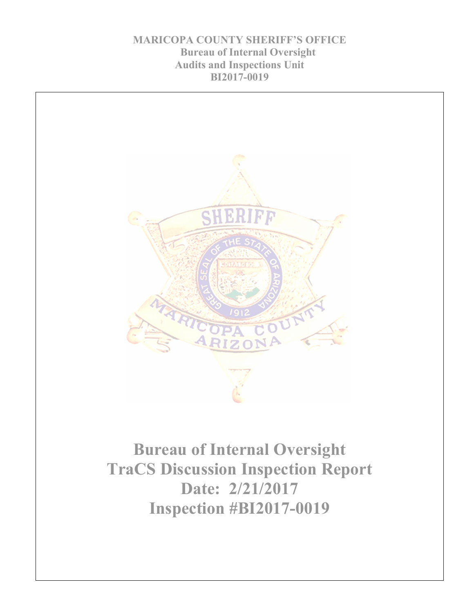**MARICOPA COUNTY SHERIFF'S OFFICE Bureau of Internal Oversight Audits and Inspections Unit BI2017-0019**

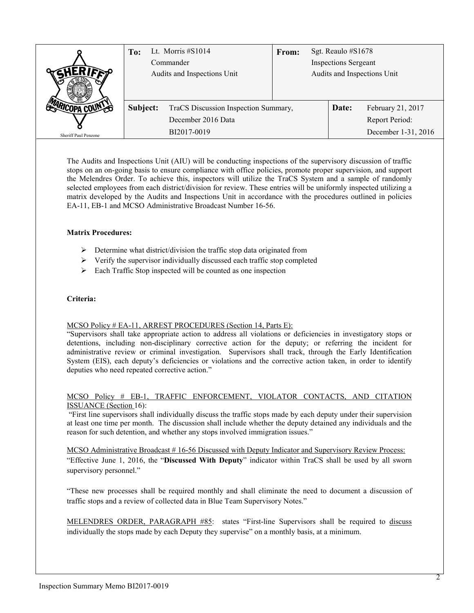|                      | Lt. Morris $\#S1014$<br>To:<br>Commander<br>Audits and Inspections Unit |                                      | From: | Sgt. Reaulo #S1678<br><b>Inspections Sergeant</b><br>Audits and Inspections Unit |       |                     |
|----------------------|-------------------------------------------------------------------------|--------------------------------------|-------|----------------------------------------------------------------------------------|-------|---------------------|
|                      | Subject:                                                                | TraCS Discussion Inspection Summary, |       |                                                                                  | Date: | February 21, 2017   |
|                      |                                                                         | December 2016 Data                   |       |                                                                                  |       | Report Period:      |
| Sheriff Paul Penzone |                                                                         | BI2017-0019                          |       |                                                                                  |       | December 1-31, 2016 |

The Audits and Inspections Unit (AIU) will be conducting inspections of the supervisory discussion of traffic stops on an on-going basis to ensure compliance with office policies, promote proper supervision, and support the Melendres Order. To achieve this, inspectors will utilize the TraCS System and a sample of randomly selected employees from each district/division for review. These entries will be uniformly inspected utilizing a matrix developed by the Audits and Inspections Unit in accordance with the procedures outlined in policies EA-11, EB-1 and MCSO Administrative Broadcast Number 16-56.

# **Matrix Procedures:**

- $\triangleright$  Determine what district/division the traffic stop data originated from
- $\triangleright$  Verify the supervisor individually discussed each traffic stop completed
- $\triangleright$  Each Traffic Stop inspected will be counted as one inspection

## **Criteria:**

## MCSO Policy # EA-11, ARREST PROCEDURES (Section 14, Parts E):

"Supervisors shall take appropriate action to address all violations or deficiencies in investigatory stops or detentions, including non-disciplinary corrective action for the deputy; or referring the incident for administrative review or criminal investigation. Supervisors shall track, through the Early Identification System (EIS), each deputy's deficiencies or violations and the corrective action taken, in order to identify deputies who need repeated corrective action."

## MCSO Policy # EB-1, TRAFFIC ENFORCEMENT, VIOLATOR CONTACTS, AND CITATION ISSUANCE (Section 16):

"First line supervisors shall individually discuss the traffic stops made by each deputy under their supervision at least one time per month. The discussion shall include whether the deputy detained any individuals and the reason for such detention, and whether any stops involved immigration issues."

MCSO Administrative Broadcast # 16-56 Discussed with Deputy Indicator and Supervisory Review Process: "Effective June 1, 2016, the "**Discussed With Deputy**" indicator within TraCS shall be used by all sworn supervisory personnel."

"These new processes shall be required monthly and shall eliminate the need to document a discussion of traffic stops and a review of collected data in Blue Team Supervisory Notes."

MELENDRES ORDER, PARAGRAPH #85: states "First-line Supervisors shall be required to discuss individually the stops made by each Deputy they supervise" on a monthly basis, at a minimum.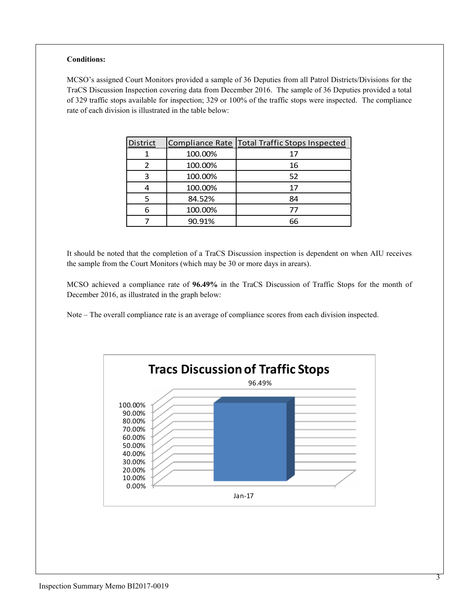## **Conditions:**

MCSO's assigned Court Monitors provided a sample of 36 Deputies from all Patrol Districts/Divisions for the TraCS Discussion Inspection covering data from December 2016. The sample of 36 Deputies provided a total of 329 traffic stops available for inspection; 329 or 100% of the traffic stops were inspected. The compliance rate of each division is illustrated in the table below:

| District |         | Compliance Rate   Total Traffic Stops Inspected |
|----------|---------|-------------------------------------------------|
|          | 100.00% | 17                                              |
|          | 100.00% | 16                                              |
| 3        | 100.00% | 52                                              |
|          | 100.00% | 17                                              |
| 5        | 84.52%  | 84                                              |
| 6        | 100.00% | 77                                              |
|          | 90.91%  | 66                                              |

It should be noted that the completion of a TraCS Discussion inspection is dependent on when AIU receives the sample from the Court Monitors (which may be 30 or more days in arears).

MCSO achieved a compliance rate of **96.49%** in the TraCS Discussion of Traffic Stops for the month of December 2016, as illustrated in the graph below:

Note – The overall compliance rate is an average of compliance scores from each division inspected.

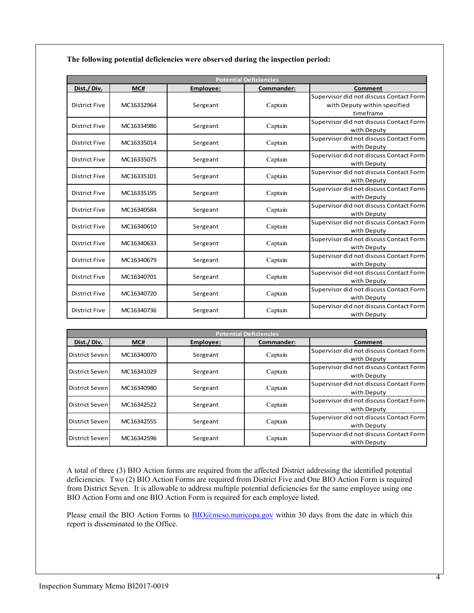**The following potential deficiencies were observed during the inspection period:**

| <b>Potential Deficiencies</b>                             |                                                                    |                                                          |                                                        |  |
|-----------------------------------------------------------|--------------------------------------------------------------------|----------------------------------------------------------|--------------------------------------------------------|--|
| MC#                                                       | Employee:                                                          | Commander:                                               | Comment                                                |  |
|                                                           |                                                                    |                                                          | Supervisor did not discuss Contact Form                |  |
| MC16332964                                                | Sergeant                                                           | Captain                                                  | with Deputy within specified                           |  |
|                                                           |                                                                    |                                                          | timeframe                                              |  |
|                                                           |                                                                    | Captain                                                  | Supervisor did not discuss Contact Form                |  |
|                                                           |                                                                    |                                                          | with Deputy                                            |  |
|                                                           |                                                                    | Captain                                                  | Supervisor did not discuss Contact Form                |  |
|                                                           |                                                                    |                                                          | with Deputy                                            |  |
| <b>District Five</b>                                      |                                                                    | Supervisor did not discuss Contact Form                  |                                                        |  |
|                                                           |                                                                    |                                                          | with Deputy                                            |  |
|                                                           |                                                                    |                                                          | Supervisor did not discuss Contact Form                |  |
|                                                           |                                                                    |                                                          | with Deputy                                            |  |
| MC16335195                                                | Sergeant                                                           | Captain                                                  | Supervisor did not discuss Contact Form                |  |
|                                                           |                                                                    |                                                          | with Deputy                                            |  |
| MC16340584                                                | Sergeant                                                           | Captain                                                  | Supervisor did not discuss Contact Form                |  |
|                                                           |                                                                    |                                                          | with Deputy<br>Supervisor did not discuss Contact Form |  |
| MC16340610                                                | Sergeant                                                           | Captain                                                  |                                                        |  |
|                                                           |                                                                    |                                                          | with Deputy<br>Supervisor did not discuss Contact Form |  |
| MC16340633                                                | Sergeant                                                           | Captain                                                  | with Deputy                                            |  |
| Captain<br><b>District Five</b><br>MC16340679<br>Sergeant |                                                                    | Supervisor did not discuss Contact Form                  |                                                        |  |
|                                                           |                                                                    |                                                          | with Deputy                                            |  |
| Captain<br><b>District Five</b><br>MC16340701<br>Sergeant |                                                                    | Supervisor did not discuss Contact Form                  |                                                        |  |
|                                                           |                                                                    |                                                          | with Deputy                                            |  |
| Captain<br><b>District Five</b><br>MC16340720<br>Sergeant |                                                                    |                                                          | Supervisor did not discuss Contact Form                |  |
|                                                           |                                                                    | with Deputy                                              |                                                        |  |
|                                                           |                                                                    | Captain                                                  | Supervisor did not discuss Contact Form                |  |
|                                                           |                                                                    |                                                          | with Deputy                                            |  |
|                                                           | MC16334986<br>MC16335014<br>MC16335075<br>MC16335101<br>MC16340736 | Sergeant<br>Sergeant<br>Sergeant<br>Sergeant<br>Sergeant | Captain<br>Captain                                     |  |

| <b>Potential Deficiencies</b> |            |           |            |                                                        |  |
|-------------------------------|------------|-----------|------------|--------------------------------------------------------|--|
| Dist./Div.                    | MC#        | Employee: | Commander: | Comment                                                |  |
| <b>District Seven</b>         | MC16340070 | Sergeant  | Captain    | Supervisor did not discuss Contact Form<br>with Deputy |  |
| District Seven                | MC16341029 | Sergeant  | Captain    | Supervisor did not discuss Contact Form<br>with Deputy |  |
| District Seven                | MC16340980 | Sergeant  | Captain    | Supervisor did not discuss Contact Form<br>with Deputy |  |
| District Seven                | MC16342522 | Sergeant  | Captain    | Supervisor did not discuss Contact Form<br>with Deputy |  |
| District Seven                | MC16342555 | Sergeant  | Captain    | Supervisor did not discuss Contact Form<br>with Deputy |  |
| District Seven                | MC16342596 | Sergeant  | Captain    | Supervisor did not discuss Contact Form<br>with Deputy |  |

A total of three (3) BIO Action forms are required from the affected District addressing the identified potential deficiencies. Two (2) BIO Action Forms are required from District Five and One BIO Action Form is required from District Seven. It is allowable to address multiple potential deficiencies for the same employee using one BIO Action Form and one BIO Action Form is required for each employee listed.

Please email the BIO Action Forms to **BIO**@mcso.maricopa.gov within 30 days from the date in which this report is disseminated to the Office.